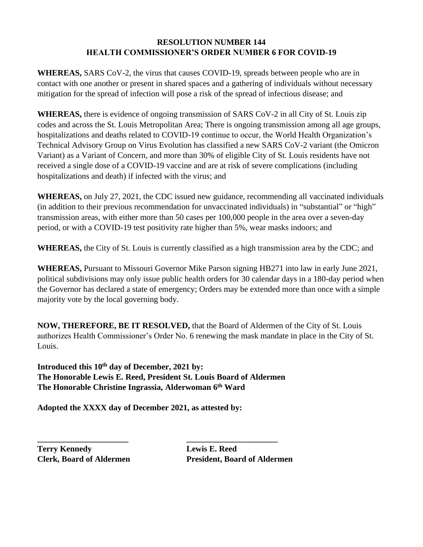## **RESOLUTION NUMBER 144 HEALTH COMMISSIONER'S ORDER NUMBER 6 FOR COVID-19**

**WHEREAS,** SARS CoV-2, the virus that causes COVID-19, spreads between people who are in contact with one another or present in shared spaces and a gathering of individuals without necessary mitigation for the spread of infection will pose a risk of the spread of infectious disease; and

**WHEREAS,** there is evidence of ongoing transmission of SARS CoV-2 in all City of St. Louis zip codes and across the St. Louis Metropolitan Area; There is ongoing transmission among all age groups, hospitalizations and deaths related to COVID-19 continue to occur, the World Health Organization's Technical Advisory Group on Virus Evolution has classified a new SARS CoV-2 variant (the Omicron Variant) as a Variant of Concern, and more than 30% of eligible City of St. Louis residents have not received a single dose of a COVID-19 vaccine and are at risk of severe complications (including hospitalizations and death) if infected with the virus; and

**WHEREAS,** on July 27, 2021, the CDC issued new guidance, recommending all vaccinated individuals (in addition to their previous recommendation for unvaccinated individuals) in "substantial" or "high" transmission areas, with either more than 50 cases per 100,000 people in the area over a seven-day period, or with a COVID-19 test positivity rate higher than 5%, wear masks indoors; and

**WHEREAS,** the City of St. Louis is currently classified as a high transmission area by the CDC; and

**WHEREAS,** Pursuant to Missouri Governor Mike Parson signing HB271 into law in early June 2021, political subdivisions may only issue public health orders for 30 calendar days in a 180-day period when the Governor has declared a state of emergency; Orders may be extended more than once with a simple majority vote by the local governing body.

**NOW, THEREFORE, BE IT RESOLVED,** that the Board of Aldermen of the City of St. Louis authorizes Health Commissioner's Order No. 6 renewing the mask mandate in place in the City of St. Louis.

**Introduced this 10th day of December, 2021 by: The Honorable Lewis E. Reed, President St. Louis Board of Aldermen The Honorable Christine Ingrassia, Alderwoman 6 th Ward**

**Adopted the XXXX day of December 2021, as attested by:**

**Terry Kennedy Lewis E. Reed**

**\_\_\_\_\_\_\_\_\_\_\_\_\_\_\_\_\_\_\_\_\_\_ \_\_\_\_\_\_\_\_\_\_\_\_\_\_\_\_\_\_\_\_\_\_ Clerk, Board of Aldermen President, Board of Aldermen**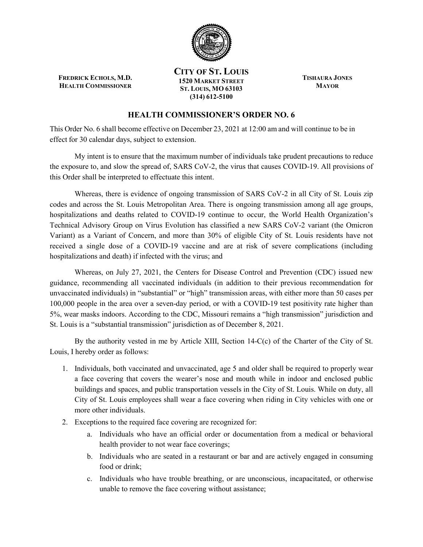

**FREDRICK ECHOLS, M.D. HEALTH COMMISSIONER**

**CITY OF ST. LOUIS 1520 MARKET STREET ST. LOUIS, MO 63103 (314) 612-5100**

**TISHAURA JONES MAYOR**

## **HEALTH COMMISSIONER'S ORDER NO. 6**

This Order No. 6 shall become effective on December 23, 2021 at 12:00 am and will continue to be in effect for 30 calendar days, subject to extension.

My intent is to ensure that the maximum number of individuals take prudent precautions to reduce the exposure to, and slow the spread of, SARS CoV-2, the virus that causes COVID-19. All provisions of this Order shall be interpreted to effectuate this intent.

Whereas, there is evidence of ongoing transmission of SARS CoV-2 in all City of St. Louis zip codes and across the St. Louis Metropolitan Area. There is ongoing transmission among all age groups, hospitalizations and deaths related to COVID-19 continue to occur, the World Health Organization's Technical Advisory Group on Virus Evolution has classified a new SARS CoV-2 variant (the Omicron Variant) as a Variant of Concern, and more than 30% of eligible City of St. Louis residents have not received a single dose of a COVID-19 vaccine and are at risk of severe complications (including hospitalizations and death) if infected with the virus; and

Whereas, on July 27, 2021, the Centers for Disease Control and Prevention (CDC) issued new guidance, recommending all vaccinated individuals (in addition to their previous recommendation for unvaccinated individuals) in "substantial" or "high" transmission areas, with either more than 50 cases per 100,000 people in the area over a seven-day period, or with a COVID-19 test positivity rate higher than 5%, wear masks indoors. According to the CDC, Missouri remains a "high transmission" jurisdiction and St. Louis is a "substantial transmission" jurisdiction as of December 8, 2021.

By the authority vested in me by Article XIII, Section 14-C(c) of the Charter of the City of St. Louis, I hereby order as follows:

- 1. Individuals, both vaccinated and unvaccinated, age 5 and older shall be required to properly wear a face covering that covers the wearer's nose and mouth while in indoor and enclosed public buildings and spaces, and public transportation vessels in the City of St. Louis. While on duty, all City of St. Louis employees shall wear a face covering when riding in City vehicles with one or more other individuals.
- 2. Exceptions to the required face covering are recognized for:
	- a. Individuals who have an official order or documentation from a medical or behavioral health provider to not wear face coverings;
	- b. Individuals who are seated in a restaurant or bar and are actively engaged in consuming food or drink;
	- c. Individuals who have trouble breathing, or are unconscious, incapacitated, or otherwise unable to remove the face covering without assistance;